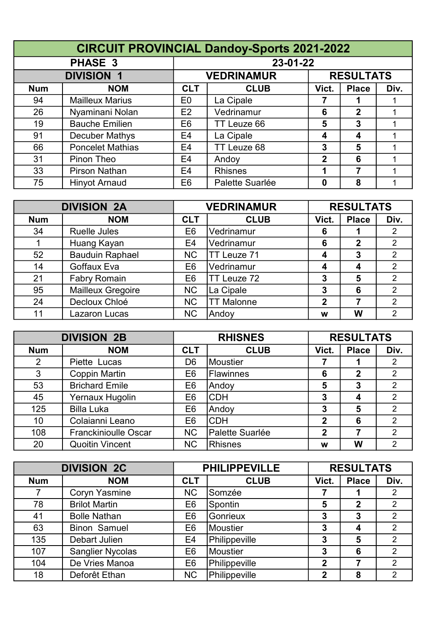|            | <b>CIRCUIT PROVINCIAL Dandoy-Sports 2021-2022</b> |                |                   |             |                  |      |  |  |  |
|------------|---------------------------------------------------|----------------|-------------------|-------------|------------------|------|--|--|--|
|            | <b>PHASE 3</b>                                    |                | 23-01-22          |             |                  |      |  |  |  |
|            | <b>DIVISION 1</b>                                 |                | <b>VEDRINAMUR</b> |             | <b>RESULTATS</b> |      |  |  |  |
| <b>Num</b> | <b>NOM</b>                                        | <b>CLT</b>     | <b>CLUB</b>       | Vict.       | <b>Place</b>     | Div. |  |  |  |
| 94         | <b>Mailleux Marius</b>                            | E <sub>0</sub> | La Cipale         |             |                  |      |  |  |  |
| 26         | Nyaminani Nolan                                   | E2             | Vedrinamur        | 6           | $\mathbf{2}$     |      |  |  |  |
| 19         | <b>Bauche Emilien</b>                             | E <sub>6</sub> | TT Leuze 66       | 5           | 3                |      |  |  |  |
| 91         | Decuber Mathys                                    | E4             | La Cipale         | 4           | 4                |      |  |  |  |
| 66         | <b>Poncelet Mathias</b>                           | E4             | TT Leuze 68       | 3           | 5                |      |  |  |  |
| 31         | Pinon Theo                                        | E4             | Andoy             | $\mathbf 2$ | 6                |      |  |  |  |
| 33         | Pirson Nathan                                     | E <sub>4</sub> | <b>Rhisnes</b>    | 1           | 7                |      |  |  |  |
| 75         | <b>Hinyot Arnaud</b>                              | E <sub>6</sub> | Palette Suarlée   | 0           | 8                |      |  |  |  |

| <b>DIVISION 2A</b> |                          | <b>VEDRINAMUR</b> |                   | <b>RESULTATS</b> |              |                |
|--------------------|--------------------------|-------------------|-------------------|------------------|--------------|----------------|
| <b>Num</b>         | <b>NOM</b>               | <b>CLT</b>        | <b>CLUB</b>       | Vict.            | <b>Place</b> | Div.           |
| 34                 | <b>Ruelle Jules</b>      | E <sub>6</sub>    | Vedrinamur        | 6                |              | 2              |
|                    | Huang Kayan              | E4                | Vedrinamur        | 6                | $\mathbf 2$  | $\overline{2}$ |
| 52                 | <b>Bauduin Raphael</b>   | <b>NC</b>         | TT Leuze 71       | 4                | 3            | $\overline{2}$ |
| 14                 | Goffaux Eva              | E6                | Vedrinamur        | 4                | 4            | $\overline{2}$ |
| 21                 | <b>Fabry Romain</b>      | E <sub>6</sub>    | TT Leuze 72       | 3                | 5            | $\overline{2}$ |
| 95                 | <b>Mailleux Gregoire</b> | <b>NC</b>         | La Cipale         | 3                | 6            | $\overline{2}$ |
| 24                 | Decloux Chloé            | <b>NC</b>         | <b>TT Malonne</b> | $\overline{2}$   |              | $\overline{2}$ |
| 11                 | Lazaron Lucas            | <b>NC</b>         | Andoy             | W                | W            | 2              |

| <b>DIVISION 2B</b> |                             | <b>RHISNES</b> |                  | <b>RESULTATS</b> |              |                |
|--------------------|-----------------------------|----------------|------------------|------------------|--------------|----------------|
| <b>Num</b>         | <b>NOM</b>                  | <b>CLT</b>     | <b>CLUB</b>      | Vict.            | <b>Place</b> | Div.           |
| 2                  | Piette Lucas                | D <sub>6</sub> | Moustier         |                  |              | 2              |
| 3                  | <b>Coppin Martin</b>        | E6             | <b>Flawinnes</b> | 6                | $\mathbf 2$  | $\overline{2}$ |
| 53                 | <b>Brichard Emile</b>       | E <sub>6</sub> | Andoy            | 5                | 3            | $\overline{2}$ |
| 45                 | Yernaux Hugolin             | E6             | <b>CDH</b>       | 3                | 4            | $\overline{2}$ |
| 125                | <b>Billa Luka</b>           | E6             | Andoy            | 3                | 5            | $\overline{2}$ |
| 10                 | Colaianni Leano             | E <sub>6</sub> | <b>CDH</b>       | $\mathbf 2$      | 6            | $\overline{2}$ |
| 108                | <b>Franckinioulle Oscar</b> | <b>NC</b>      | Palette Suarlée  | $\mathbf{2}$     | 7            | $\overline{2}$ |
| 20                 | <b>Quoitin Vincent</b>      | <b>NC</b>      | Rhisnes          | w                | W            | $\overline{2}$ |

| <b>DIVISION 2C</b> |                         | <b>PHILIPPEVILLE</b> |                 | <b>RESULTATS</b> |                |                |
|--------------------|-------------------------|----------------------|-----------------|------------------|----------------|----------------|
| <b>Num</b>         | <b>NOM</b>              | <b>CLT</b>           | <b>CLUB</b>     | Vict.            | <b>Place</b>   | Div.           |
|                    | <b>Coryn Yasmine</b>    | <b>NC</b>            | Somzée          |                  |                | $\overline{2}$ |
| 78                 | <b>Brilot Martin</b>    | E <sub>6</sub>       | Spontin         | 5                | $\overline{2}$ | $\overline{2}$ |
| 41                 | <b>Bolle Nathan</b>     | E6                   | Gonrieux        | 3                | 3              | $\overline{2}$ |
| 63                 | <b>Binon Samuel</b>     | E <sub>6</sub>       | <b>Moustier</b> | 3                | 4              | $\overline{2}$ |
| 135                | Debart Julien           | E4                   | Philippeville   | 3                | 5              | $\overline{2}$ |
| 107                | <b>Sanglier Nycolas</b> | E <sub>6</sub>       | Moustier        | 3                | 6              | $\overline{2}$ |
| 104                | De Vries Manoa          | E <sub>6</sub>       | Philippeville   | $\mathbf 2$      |                | $\overline{2}$ |
| 18                 | Deforêt Ethan           | <b>NC</b>            | Philippeville   | $\mathbf 2$      | 8              | $\overline{2}$ |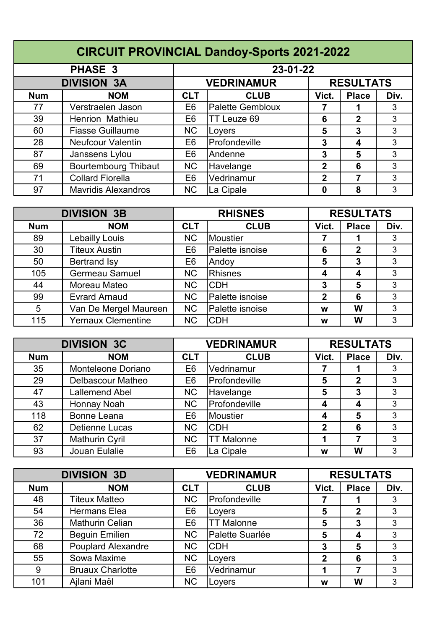| <b>CIRCUIT PROVINCIAL Dandoy-Sports 2021-2022</b> |                             |                |                         |                |                  |      |  |  |
|---------------------------------------------------|-----------------------------|----------------|-------------------------|----------------|------------------|------|--|--|
|                                                   | 23-01-22                    |                |                         |                |                  |      |  |  |
|                                                   | <b>DIVISION 3A</b>          |                | <b>VEDRINAMUR</b>       |                | <b>RESULTATS</b> |      |  |  |
| <b>Num</b>                                        | <b>NOM</b>                  | <b>CLT</b>     | <b>CLUB</b>             | Vict.          | <b>Place</b>     | Div. |  |  |
| 77                                                | Verstraelen Jason           | E <sub>6</sub> | <b>Palette Gembloux</b> |                |                  | 3    |  |  |
| 39                                                | <b>Henrion Mathieu</b>      | E <sub>6</sub> | TT Leuze 69             | 6              | $\mathbf{2}$     | 3    |  |  |
| 60                                                | <b>Fiasse Guillaume</b>     | <b>NC</b>      | Loyers                  | 5              | 3                | 3    |  |  |
| 28                                                | <b>Neufcour Valentin</b>    | E <sub>6</sub> | Profondeville           | 3              | 4                | 3    |  |  |
| 87                                                | Janssens Lylou              | E <sub>6</sub> | Andenne                 | 3              | 5                | 3    |  |  |
| 69                                                | <b>Bourtembourg Thibaut</b> | <b>NC</b>      | Havelange               | $\mathbf{2}$   | 6                | 3    |  |  |
| 71                                                | <b>Collard Fiorella</b>     | E <sub>6</sub> | Vedrinamur              | $\overline{2}$ | 7                | 3    |  |  |
| 97                                                | <b>Mavridis Alexandros</b>  | <b>NC</b>      | La Cipale               | 0              | 8                | 3    |  |  |

| <b>DIVISION 3B</b> |                           | <b>RHISNES</b> |                 | <b>RESULTATS</b> |              |      |
|--------------------|---------------------------|----------------|-----------------|------------------|--------------|------|
| <b>Num</b>         | <b>NOM</b>                | <b>CLT</b>     | <b>CLUB</b>     | Vict.            | <b>Place</b> | Div. |
| 89                 | Lebailly Louis            | <b>NC</b>      | <b>Moustier</b> |                  |              | 3    |
| 30                 | <b>Titeux Austin</b>      | E <sub>6</sub> | Palette isnoise | 6                | 2            | 3    |
| 50                 | <b>Bertrand Isy</b>       | E <sub>6</sub> | Andoy           | 5                | 3            | 3    |
| 105                | <b>Germeau Samuel</b>     | <b>NC</b>      | Rhisnes         | 4                | 4            | 3    |
| 44                 | Moreau Mateo              | <b>NC</b>      | <b>CDH</b>      | 3                | 5            | 3    |
| 99                 | <b>Evrard Arnaud</b>      | <b>NC</b>      | Palette isnoise | $\mathbf{2}$     | 6            | 3    |
| 5                  | Van De Mergel Maureen     | <b>NC</b>      | Palette isnoise | W                | W            | 3    |
| 115                | <b>Yernaux Clementine</b> | <b>NC</b>      | <b>CDH</b>      | w                | W            | 3    |

| <b>DIVISION 3C</b> |                       | <b>VEDRINAMUR</b> |                   | <b>RESULTATS</b> |              |      |
|--------------------|-----------------------|-------------------|-------------------|------------------|--------------|------|
| <b>Num</b>         | <b>NOM</b>            | <b>CLT</b>        | <b>CLUB</b>       | Vict.            | <b>Place</b> | Div. |
| 35                 | Monteleone Doriano    | E <sub>6</sub>    | Vedrinamur        |                  |              | 3    |
| 29                 | Delbascour Matheo     | E <sub>6</sub>    | Profondeville     | 5                | 2            | 3    |
| 47                 | <b>Lallemend Abel</b> | <b>NC</b>         | Havelange         | 5                | 3            | 3    |
| 43                 | Honnay Noah           | <b>NC</b>         | Profondeville     | 4                | 4            | 3    |
| 118                | <b>Bonne Leana</b>    | E <sub>6</sub>    | <b>Moustier</b>   | 4                | 5            | 3    |
| 62                 | <b>Detienne Lucas</b> | <b>NC</b>         | <b>CDH</b>        | $\mathbf 2$      | 6            | 3    |
| 37                 | <b>Mathurin Cyril</b> | <b>NC</b>         | <b>TT Malonne</b> |                  |              | 3    |
| 93                 | Jouan Eulalie         | E <sub>6</sub>    | La Cipale         | w                | W            | 3    |

| <b>DIVISION 3D</b> |                           | <b>VEDRINAMUR</b> |                   | <b>RESULTATS</b> |              |      |
|--------------------|---------------------------|-------------------|-------------------|------------------|--------------|------|
| <b>Num</b>         | <b>NOM</b>                | <b>CLT</b>        | <b>CLUB</b>       | Vict.            | <b>Place</b> | Div. |
| 48                 | Titeux Matteo             | <b>NC</b>         | Profondeville     |                  |              | 3    |
| 54                 | <b>Hermans Elea</b>       | E <sub>6</sub>    | Loyers            | 5                | $\mathbf{2}$ | 3    |
| 36                 | <b>Mathurin Celian</b>    | E <sub>6</sub>    | <b>TT Malonne</b> | 5                | 3            | 3    |
| 72                 | <b>Beguin Emilien</b>     | <b>NC</b>         | Palette Suarlée   | 5                | 4            | 3    |
| 68                 | <b>Pouplard Alexandre</b> | <b>NC</b>         | <b>CDH</b>        | 3                | 5            | 3    |
| 55                 | Sowa Maxime               | <b>NC</b>         | Loyers            | $\mathbf{2}$     | 6            | 3    |
| 9                  | <b>Bruaux Charlotte</b>   | E <sub>6</sub>    | Vedrinamur        |                  |              | 3    |
| 101                | Ajlani Maël               | <b>NC</b>         | Loyers            | w                | W            | 3    |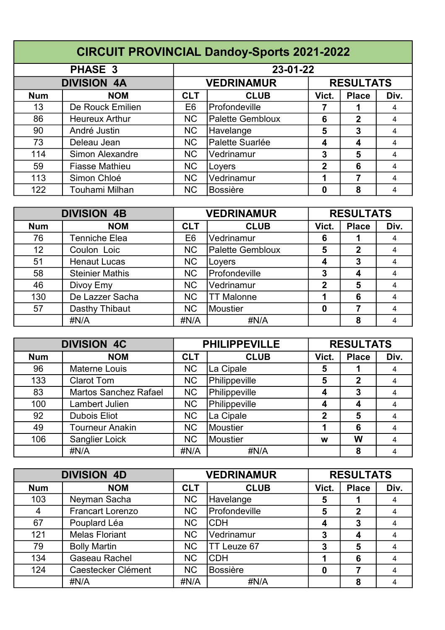|            | <b>CIRCUIT PROVINCIAL Dandoy-Sports 2021-2022</b> |                |                         |             |                  |      |  |  |  |
|------------|---------------------------------------------------|----------------|-------------------------|-------------|------------------|------|--|--|--|
|            | <b>PHASE 3</b>                                    |                | 23-01-22                |             |                  |      |  |  |  |
|            | <b>DIVISION 4A</b>                                |                | <b>VEDRINAMUR</b>       |             | <b>RESULTATS</b> |      |  |  |  |
| <b>Num</b> | <b>NOM</b>                                        | <b>CLT</b>     | <b>CLUB</b>             | Vict.       | <b>Place</b>     | Div. |  |  |  |
| 13         | De Rouck Emilien                                  | E <sub>6</sub> | Profondeville           |             |                  | 4    |  |  |  |
| 86         | <b>Heureux Arthur</b>                             | <b>NC</b>      | <b>Palette Gembloux</b> | 6           | 2                | 4    |  |  |  |
| 90         | André Justin                                      | <b>NC</b>      | Havelange               | 5           | 3                | 4    |  |  |  |
| 73         | Deleau Jean                                       | <b>NC</b>      | Palette Suarlée         | 4           | 4                | 4    |  |  |  |
| 114        | Simon Alexandre                                   | <b>NC</b>      | Vedrinamur              | 3           | 5                | 4    |  |  |  |
| 59         | <b>Fiasse Mathieu</b>                             | <b>NC</b>      | Loyers                  | $\mathbf 2$ | 6                | 4    |  |  |  |
| 113        | Simon Chloé                                       | <b>NC</b>      | Vedrinamur              | 1           | 7                | 4    |  |  |  |
| 122        | Touhami Milhan                                    | <b>NC</b>      | <b>Bossière</b>         | 0           | 8                | 4    |  |  |  |

| <b>DIVISION 4B</b> |                        | <b>VEDRINAMUR</b> |                         | <b>RESULTATS</b> |              |      |
|--------------------|------------------------|-------------------|-------------------------|------------------|--------------|------|
| <b>Num</b>         | <b>NOM</b>             | <b>CLT</b>        | <b>CLUB</b>             | Vict.            | <b>Place</b> | Div. |
| 76                 | Tenniche Elea          | E <sub>6</sub>    | Vedrinamur              | 6                |              | 4    |
| 12 <sub>2</sub>    | Coulon Loic            | <b>NC</b>         | <b>Palette Gembloux</b> | 5                | 2            | 4    |
| 51                 | <b>Henaut Lucas</b>    | <b>NC</b>         | Loyers                  | 4                | 3            | 4    |
| 58                 | <b>Steinier Mathis</b> | <b>NC</b>         | Profondeville           | 3                | 4            | 4    |
| 46                 | Divoy Emy              | <b>NC</b>         | Vedrinamur              | $\overline{2}$   | 5            | 4    |
| 130                | De Lazzer Sacha        | <b>NC</b>         | <b>TT Malonne</b>       |                  | 6            | 4    |
| 57                 | Dasthy Thibaut         | <b>NC</b>         | Moustier                | 0                |              | 4    |
|                    | #N/A                   | #N/A              | #N/A                    |                  | 8            | 4    |

| <b>DIVISION 4C</b> |                              | <b>PHILIPPEVILLE</b> |               | <b>RESULTATS</b> |              |      |
|--------------------|------------------------------|----------------------|---------------|------------------|--------------|------|
| <b>Num</b>         | <b>NOM</b>                   | <b>CLT</b>           | <b>CLUB</b>   | Vict.            | <b>Place</b> | Div. |
| 96                 | <b>Materne Louis</b>         | <b>NC</b>            | La Cipale     | 5                |              | 4    |
| 133                | <b>Clarot Tom</b>            | <b>NC</b>            | Philippeville | 5                | $\mathbf 2$  | 4    |
| 83                 | <b>Martos Sanchez Rafael</b> | <b>NC</b>            | Philippeville | 4                | 3            | 4    |
| 100                | Lambert Julien               | <b>NC</b>            | Philippeville | 4                | 4            | 4    |
| 92                 | <b>Dubois Eliot</b>          | <b>NC</b>            | La Cipale     | $\mathbf 2$      | 5            | 4    |
| 49                 | <b>Tourneur Anakin</b>       | <b>NC</b>            | Moustier      |                  | 6            | 4    |
| 106                | Sanglier Loick               | <b>NC</b>            | Moustier      | W                | W            | 4    |
|                    | #N/A                         | #N/A                 | #N/A          |                  | 8            | 4    |

| <b>DIVISION 4D</b> |                         | <b>VEDRINAMUR</b> |                 | <b>RESULTATS</b> |              |      |
|--------------------|-------------------------|-------------------|-----------------|------------------|--------------|------|
| <b>Num</b>         | <b>NOM</b>              | <b>CLT</b>        | <b>CLUB</b>     | Vict.            | <b>Place</b> | Div. |
| 103                | Neyman Sacha            | <b>NC</b>         | Havelange       | 5                |              | 4    |
| 4                  | <b>Francart Lorenzo</b> | <b>NC</b>         | Profondeville   | 5                | $\mathbf{2}$ | 4    |
| 67                 | Pouplard Léa            | <b>NC</b>         | <b>CDH</b>      | 4                | 3            |      |
| 121                | <b>Melas Floriant</b>   | <b>NC</b>         | Vedrinamur      | 3                | 4            | 4    |
| 79                 | <b>Bolly Martin</b>     | <b>NC</b>         | TT Leuze 67     | 3                | 5            | 4    |
| 134                | Gaseau Rachel           | <b>NC</b>         | <b>CDH</b>      |                  | 6            |      |
| 124                | Caestecker Clément      | <b>NC</b>         | <b>Bossière</b> | 0                |              | 4    |
|                    | #N/A                    | #N/A              | #N/A            |                  | 8            |      |